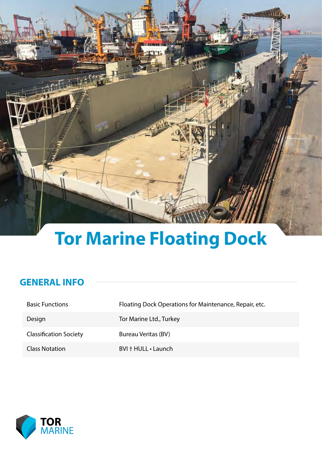

# **Tor Marine Floating Dock**

#### **GENERAL INFO**

| <b>Basic Functions</b>        | Floating Dock Operations for Maintenance, Repair, etc. |
|-------------------------------|--------------------------------------------------------|
| Design                        | Tor Marine Ltd., Turkey                                |
| <b>Classification Society</b> | <b>Bureau Veritas (BV)</b>                             |
| <b>Class Notation</b>         | BVI + HULL · Launch                                    |

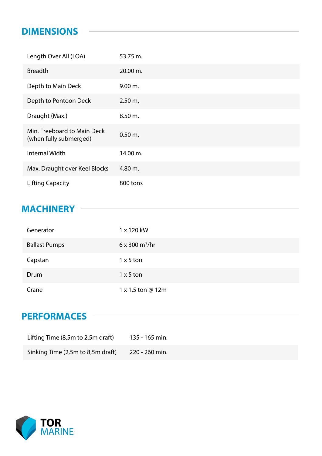#### **DIMENSIONS**

| Length Over All (LOA)                                 | 53.75 m.  |
|-------------------------------------------------------|-----------|
| <b>Breadth</b>                                        | 20.00 m.  |
| Depth to Main Deck                                    | 9.00 m.   |
| Depth to Pontoon Deck                                 | 2.50 m.   |
| Draught (Max.)                                        | 8.50 m.   |
| Min. Freeboard to Main Deck<br>(when fully submerged) | $0.50$ m. |
| <b>Internal Width</b>                                 | 14.00 m.  |
| Max. Draught over Keel Blocks                         | 4.80 m.   |
| <b>Lifting Capacity</b>                               | 800 tons  |

## **MACHINERY**

| Generator            | 1 x 120 kW                           |
|----------------------|--------------------------------------|
| <b>Ballast Pumps</b> | $6 \times 300 \text{ m}^3/\text{hr}$ |
| Capstan              | $1 \times 5$ ton                     |
| Drum                 | $1 \times 5$ ton                     |
| Crane                | $1 \times 1,5$ ton @ 12m             |

## **PERFORMACES**

| Lifting Time (8,5m to 2,5m draft) | 135 - 165 min. |
|-----------------------------------|----------------|
| Sinking Time (2,5m to 8,5m draft) | 220 - 260 min. |

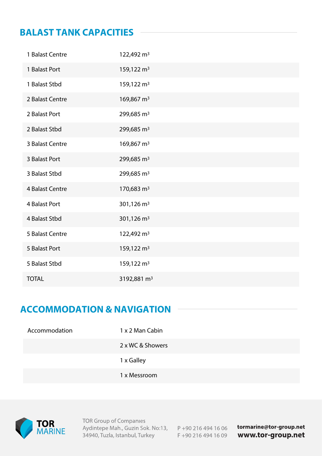#### **BALAST TANK CAPACITIES**

| 1 Balast Centre | 122,492 m <sup>3</sup>  |
|-----------------|-------------------------|
| 1 Balast Port   | 159,122 m <sup>3</sup>  |
| 1 Balast Stbd   | 159,122 m <sup>3</sup>  |
| 2 Balast Centre | 169,867 m <sup>3</sup>  |
| 2 Balast Port   | 299,685 m <sup>3</sup>  |
| 2 Balast Stbd   | 299,685 m <sup>3</sup>  |
| 3 Balast Centre | 169,867 m <sup>3</sup>  |
| 3 Balast Port   | 299,685 m <sup>3</sup>  |
| 3 Balast Stbd   | 299,685 m <sup>3</sup>  |
| 4 Balast Centre | 170,683 m <sup>3</sup>  |
| 4 Balast Port   | 301,126 $m3$            |
| 4 Balast Stbd   | 301,126 m <sup>3</sup>  |
| 5 Balast Centre | 122,492 m <sup>3</sup>  |
| 5 Balast Port   | 159,122 m <sup>3</sup>  |
| 5 Balast Stbd   | 159,122 m <sup>3</sup>  |
| <b>TOTAL</b>    | 3192,881 m <sup>3</sup> |

## **ACCOMMODATION & NAVIGATION**

| Accommodation | 1 x 2 Man Cabin  |
|---------------|------------------|
|               | 2 x WC & Showers |
|               | 1 x Galley       |
|               | 1 x Messroom     |



**TOR Group of Companies** Aydintepe Mah., Guzin Sok. No:13, P +90 216 494 16 06 34940, Tuzla, Istanbul, Turkey

F +90 216 494 16 09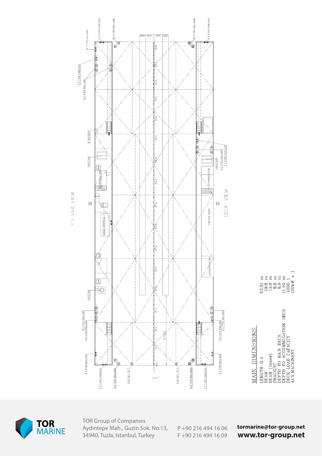



**TOR Group of Companies** Aydintepe Mah., Guzin Sok. No:13, 34940, Tuzla, Istanbul, Turkey

P+90 216 494 16 06 F +90 216 494 16 09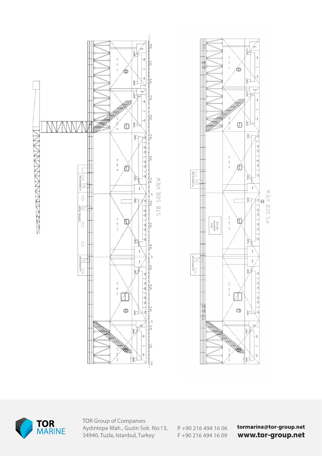





**TOR Group of Companies** Aydintepe Mah., Guzin Sok. No:13, 34940, Tuzla, Istanbul, Turkey

P+90 216 494 16 06 F +90 216 494 16 09